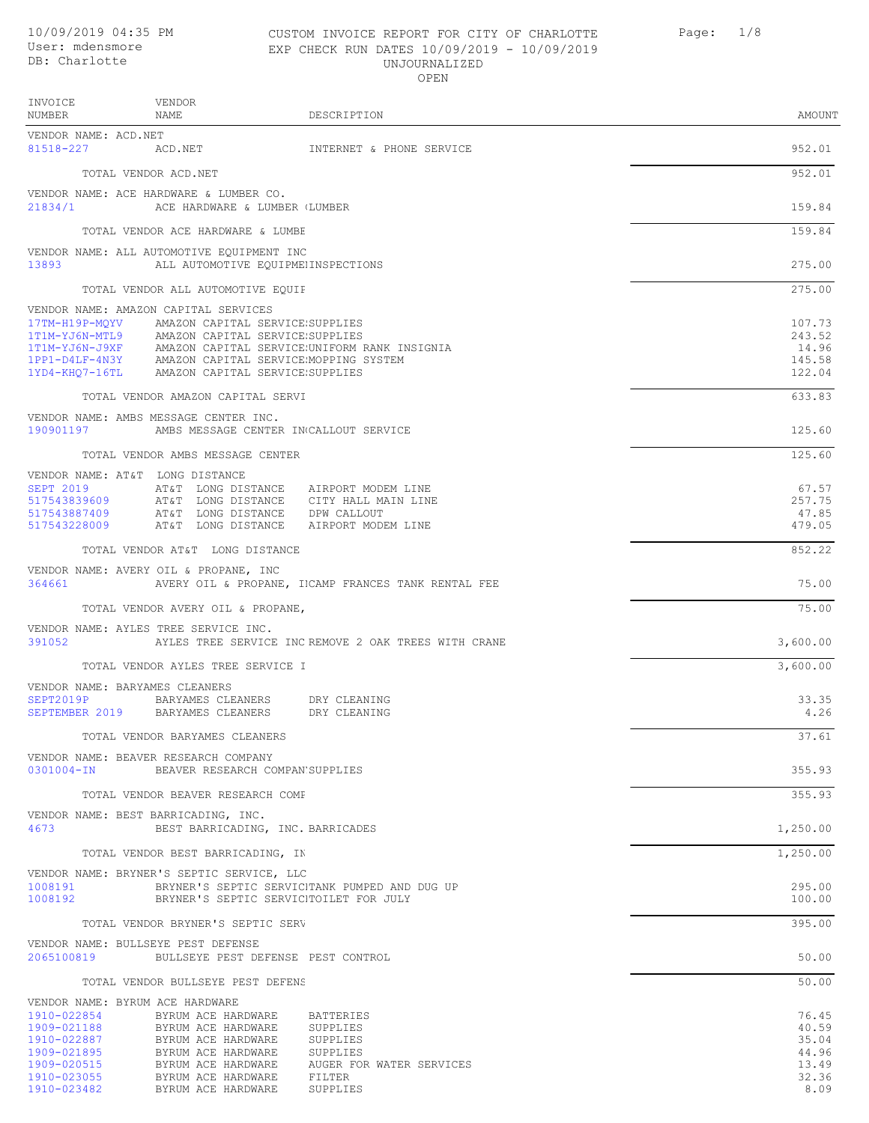## 10/09/2019 04:35 PM CUSTOM INVOICE REPORT FOR CITY OF CHARLOTTE Page: 1/8 EXP CHECK RUN DATES 10/09/2019 - 10/09/2019 UN TOURNAL TRED

|                                                                         |                                                                                                                                                                                                                      | UNUVUNNALLAEL<br>OPEN                                                     |                                               |
|-------------------------------------------------------------------------|----------------------------------------------------------------------------------------------------------------------------------------------------------------------------------------------------------------------|---------------------------------------------------------------------------|-----------------------------------------------|
| INVOICE<br>NUMBER                                                       | VENDOR<br>NAME                                                                                                                                                                                                       | DESCRIPTION                                                               | AMOUNT                                        |
| VENDOR NAME: ACD.NET<br>81518-227 ACD.NET                               |                                                                                                                                                                                                                      | INTERNET & PHONE SERVICE                                                  | 952.01                                        |
|                                                                         | TOTAL VENDOR ACD.NET                                                                                                                                                                                                 |                                                                           | 952.01                                        |
|                                                                         | VENDOR NAME: ACE HARDWARE & LUMBER CO.<br>21834/1 ACE HARDWARE & LUMBER LUMBER                                                                                                                                       |                                                                           | 159.84                                        |
|                                                                         | TOTAL VENDOR ACE HARDWARE & LUMBE                                                                                                                                                                                    |                                                                           | 159.84                                        |
| 13893                                                                   | VENDOR NAME: ALL AUTOMOTIVE EQUIPMENT INC<br>ALL AUTOMOTIVE EQUIPMENINSPECTIONS                                                                                                                                      |                                                                           | 275.00                                        |
|                                                                         | TOTAL VENDOR ALL AUTOMOTIVE EQUIF                                                                                                                                                                                    |                                                                           | 275.00                                        |
|                                                                         | VENDOR NAME: AMAZON CAPITAL SERVICES                                                                                                                                                                                 |                                                                           |                                               |
|                                                                         | 17TM-H19P-MQYV AMAZON CAPITAL SERVICE SUPPLIES<br>1T1M-YJ6N-MTL9 AMAZON CAPITAL SERVICE SUPPLIES<br>1PP1-D4LF-4N3Y AMAZON CAPITAL SERVICE MOPPING SYSTEM<br>1YD4-KHQ7-16TL AMAZON CAPITAL SERVICE SUPPLIES           | 1T1M-YJ6N-J9XF AMAZON CAPITAL SERVICE.UNIFORM RANK INSIGNIA               | 107.73<br>243.52<br>14.96<br>145.58<br>122.04 |
|                                                                         | TOTAL VENDOR AMAZON CAPITAL SERVI                                                                                                                                                                                    |                                                                           | 633.83                                        |
| 190901197                                                               | VENDOR NAME: AMBS MESSAGE CENTER INC.<br>AMBS MESSAGE CENTER IN CALLOUT SERVICE                                                                                                                                      |                                                                           | 125.60                                        |
|                                                                         | TOTAL VENDOR AMBS MESSAGE CENTER                                                                                                                                                                                     |                                                                           | 125.60                                        |
| 517543887409<br>517543228009                                            | VENDOR NAME: AT&T LONG DISTANCE<br>SEPT 2019 AT&T LONG DISTANCE AIRPORT MODEM LINE<br>517543839609 AT&T LONG DISTANCE CITY HALL MAIN LINE<br>AT&T LONG DISTANCE DPW CALLOUT<br>AT&T LONG DISTANCE AIRPORT MODEM LINE |                                                                           | 67.57<br>257.75<br>47.85<br>479.05            |
|                                                                         | TOTAL VENDOR AT&T LONG DISTANCE                                                                                                                                                                                      |                                                                           | 852.22                                        |
| 364661                                                                  | VENDOR NAME: AVERY OIL & PROPANE, INC                                                                                                                                                                                | AVERY OIL & PROPANE, IICAMP FRANCES TANK RENTAL FEE                       | 75.00                                         |
|                                                                         | TOTAL VENDOR AVERY OIL & PROPANE,                                                                                                                                                                                    |                                                                           | 75.00                                         |
|                                                                         | VENDOR NAME: AYLES TREE SERVICE INC.                                                                                                                                                                                 | 391052 AYLES TREE SERVICE INC REMOVE 2 OAK TREES WITH CRANE               | 3,600.00                                      |
|                                                                         | TOTAL VENDOR AYLES TREE SERVICE I                                                                                                                                                                                    |                                                                           | 3,600.00                                      |
| VENDOR NAME: BARYAMES CLEANERS                                          | SEPT2019P BARYAMES CLEANERS DRY CLEANING<br>SEPTEMBER 2019 BARYAMES CLEANERS DRY CLEANING                                                                                                                            |                                                                           | 33.35<br>4.26                                 |
|                                                                         | TOTAL VENDOR BARYAMES CLEANERS                                                                                                                                                                                       |                                                                           | 37.61                                         |
|                                                                         | VENDOR NAME: BEAVER RESEARCH COMPANY<br>0301004-IN BEAVER RESEARCH COMPAN SUPPLIES                                                                                                                                   |                                                                           | 355.93                                        |
|                                                                         | TOTAL VENDOR BEAVER RESEARCH COMF                                                                                                                                                                                    |                                                                           | 355.93                                        |
| 4673                                                                    | VENDOR NAME: BEST BARRICADING, INC.<br>BEST BARRICADING, INC. BARRICADES                                                                                                                                             |                                                                           | 1,250.00                                      |
|                                                                         | TOTAL VENDOR BEST BARRICADING, IN                                                                                                                                                                                    |                                                                           | 1,250.00                                      |
| 1008191<br>1008192                                                      | VENDOR NAME: BRYNER'S SEPTIC SERVICE, LLC<br>BRYNER'S SEPTIC SERVICITOILET FOR JULY                                                                                                                                  | BRYNER'S SEPTIC SERVICITANK PUMPED AND DUG UP                             | 295.00<br>100.00                              |
|                                                                         | TOTAL VENDOR BRYNER'S SEPTIC SERV                                                                                                                                                                                    |                                                                           | 395.00                                        |
|                                                                         | VENDOR NAME: BULLSEYE PEST DEFENSE<br>2065100819 BULLSEYE PEST DEFENSE PEST CONTROL                                                                                                                                  |                                                                           | 50.00                                         |
|                                                                         | TOTAL VENDOR BULLSEYE PEST DEFENS                                                                                                                                                                                    |                                                                           | 50.00                                         |
| VENDOR NAME: BYRUM ACE HARDWARE                                         |                                                                                                                                                                                                                      |                                                                           |                                               |
| 1910-022854<br>1909-021188<br>1910-022887<br>1909-021895<br>1909-020515 | BYRUM ACE HARDWARE<br>BYRUM ACE HARDWARE<br>BYRUM ACE HARDWARE<br>BYRUM ACE HARDWARE<br>BYRUM ACE HARDWARE                                                                                                           | BATTERIES<br>SUPPLIES<br>SUPPLIES<br>SUPPLIES<br>AUGER FOR WATER SERVICES | 76.45<br>40.59<br>35.04<br>44.96<br>13.49     |

1910-023055 BYRUM ACE HARDWARE FILTER 32.36 1910-023482 BYRUM ACE HARDWARE SUPPLIES 8.09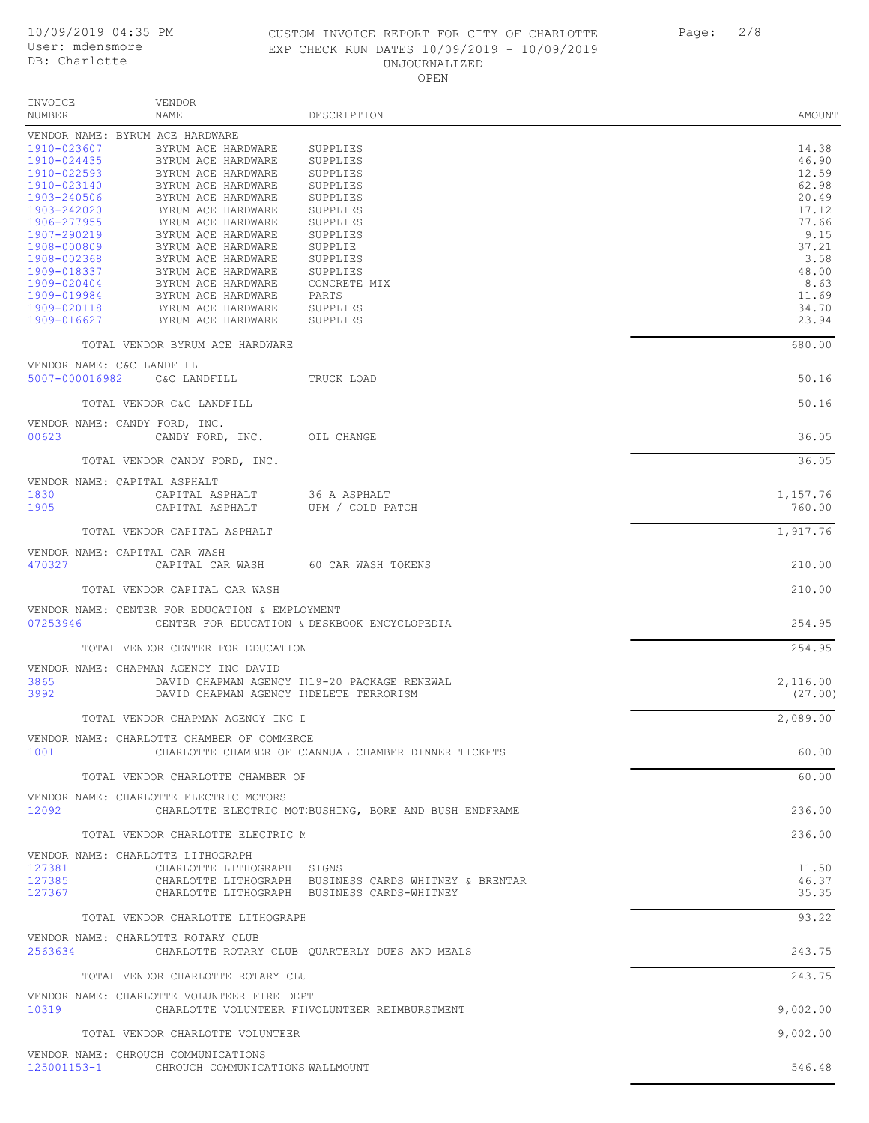#### 10/09/2019 04:35 PM CUSTOM INVOICE REPORT FOR CITY OF CHARLOTTE Page: 2/8 EXP CHECK RUN DATES 10/09/2019 - 10/09/2019 UNJOURNALIZED OPEN

| INVOICE<br>VENDOR                                                                                                                                                                                                                                                                                                                                                                                                            |                                                        |                |
|------------------------------------------------------------------------------------------------------------------------------------------------------------------------------------------------------------------------------------------------------------------------------------------------------------------------------------------------------------------------------------------------------------------------------|--------------------------------------------------------|----------------|
| NUMBER<br>NAME                                                                                                                                                                                                                                                                                                                                                                                                               | DESCRIPTION                                            | AMOUNT         |
| VENDOR NAME: BYRUM ACE HARDWARE                                                                                                                                                                                                                                                                                                                                                                                              |                                                        |                |
| 1910-023607 BYRUM ACE HARDWARE                                                                                                                                                                                                                                                                                                                                                                                               | SUPPLIES                                               | 14.38          |
| $1910-023607 \quad \text{BYRUM ACE HARDWARE} \quad \text{SUPPLIES} \\ 1910-024435 \quad \text{BYRUM ACE HARDWARE} \quad \text{SUPPLIES} \\ 1910-022593 \quad \text{BYRUM ACE HARDWARE} \quad \text{SUPPLIES} \\ 1903-240506 \quad \text{BYRUM ACE HARDWARE} \quad \text{SUPPLIES} \\ 1903-242020 \quad \text{BYRUM ACE HARDWARE} \quad \text{SUPPLIES} \\ 1906-277955 \quad \text{BYRUM ACE HARDWARE} \quad \text{SUPPLIES}$ |                                                        | 46.90          |
|                                                                                                                                                                                                                                                                                                                                                                                                                              |                                                        | 12.59          |
|                                                                                                                                                                                                                                                                                                                                                                                                                              |                                                        | 62.98          |
|                                                                                                                                                                                                                                                                                                                                                                                                                              |                                                        | 20.49          |
|                                                                                                                                                                                                                                                                                                                                                                                                                              |                                                        | 17.12          |
|                                                                                                                                                                                                                                                                                                                                                                                                                              |                                                        | 77.66          |
|                                                                                                                                                                                                                                                                                                                                                                                                                              |                                                        | 9.15           |
|                                                                                                                                                                                                                                                                                                                                                                                                                              |                                                        | 37.21          |
|                                                                                                                                                                                                                                                                                                                                                                                                                              |                                                        | 3.58           |
|                                                                                                                                                                                                                                                                                                                                                                                                                              |                                                        | 48.00          |
|                                                                                                                                                                                                                                                                                                                                                                                                                              | CONCRETE MIX                                           | 8.63           |
|                                                                                                                                                                                                                                                                                                                                                                                                                              |                                                        | 11.69          |
| 1909-016627<br>BYRUM ACE HARDWARE                                                                                                                                                                                                                                                                                                                                                                                            | SUPPLIES                                               | 34.70<br>23.94 |
|                                                                                                                                                                                                                                                                                                                                                                                                                              |                                                        |                |
| TOTAL VENDOR BYRUM ACE HARDWARE                                                                                                                                                                                                                                                                                                                                                                                              |                                                        | 680.00         |
| VENDOR NAME: C&C LANDFILL                                                                                                                                                                                                                                                                                                                                                                                                    |                                                        |                |
| 5007-000016982 C&C LANDFILL TRUCK LOAD                                                                                                                                                                                                                                                                                                                                                                                       |                                                        | 50.16          |
| TOTAL VENDOR C&C LANDFILL                                                                                                                                                                                                                                                                                                                                                                                                    |                                                        | 50.16          |
|                                                                                                                                                                                                                                                                                                                                                                                                                              |                                                        |                |
| VENDOR NAME: CANDY FORD, INC.                                                                                                                                                                                                                                                                                                                                                                                                |                                                        |                |
| 00623<br>CANDY FORD, INC. OIL CHANGE                                                                                                                                                                                                                                                                                                                                                                                         |                                                        | 36.05          |
|                                                                                                                                                                                                                                                                                                                                                                                                                              |                                                        |                |
| TOTAL VENDOR CANDY FORD, INC.                                                                                                                                                                                                                                                                                                                                                                                                |                                                        | 36.05          |
| VENDOR NAME: CAPITAL ASPHALT                                                                                                                                                                                                                                                                                                                                                                                                 |                                                        |                |
| CAPITAL ASPHALT 36 A ASPHALT<br>1830                                                                                                                                                                                                                                                                                                                                                                                         |                                                        | 1,157.76       |
| 1905                                                                                                                                                                                                                                                                                                                                                                                                                         | CAPITAL ASPHALT UPM / COLD PATCH                       | 760.00         |
|                                                                                                                                                                                                                                                                                                                                                                                                                              |                                                        |                |
| TOTAL VENDOR CAPITAL ASPHALT                                                                                                                                                                                                                                                                                                                                                                                                 |                                                        | 1,917.76       |
| VENDOR NAME: CAPITAL CAR WASH                                                                                                                                                                                                                                                                                                                                                                                                |                                                        |                |
| 470327                                                                                                                                                                                                                                                                                                                                                                                                                       | CAPITAL CAR WASH 60 CAR WASH TOKENS                    | 210.00         |
|                                                                                                                                                                                                                                                                                                                                                                                                                              |                                                        |                |
| TOTAL VENDOR CAPITAL CAR WASH                                                                                                                                                                                                                                                                                                                                                                                                |                                                        | 210.00         |
|                                                                                                                                                                                                                                                                                                                                                                                                                              |                                                        |                |
| VENDOR NAME: CENTER FOR EDUCATION & EMPLOYMENT                                                                                                                                                                                                                                                                                                                                                                               |                                                        |                |
| 07253946                                                                                                                                                                                                                                                                                                                                                                                                                     | CENTER FOR EDUCATION & DESKBOOK ENCYCLOPEDIA           | 254.95         |
| TOTAL VENDOR CENTER FOR EDUCATION                                                                                                                                                                                                                                                                                                                                                                                            |                                                        | 254.95         |
|                                                                                                                                                                                                                                                                                                                                                                                                                              |                                                        |                |
| VENDOR NAME: CHAPMAN AGENCY INC DAVID                                                                                                                                                                                                                                                                                                                                                                                        |                                                        |                |
| 3865                                                                                                                                                                                                                                                                                                                                                                                                                         | DAVID CHAPMAN AGENCY I119-20 PACKAGE RENEWAL           | 2,116.00       |
| 3992                                                                                                                                                                                                                                                                                                                                                                                                                         | DAVID CHAPMAN AGENCY IIDELETE TERRORISM                | (27.00)        |
|                                                                                                                                                                                                                                                                                                                                                                                                                              |                                                        |                |
| TOTAL VENDOR CHAPMAN AGENCY INC L                                                                                                                                                                                                                                                                                                                                                                                            |                                                        | 2,089.00       |
| VENDOR NAME: CHARLOTTE CHAMBER OF COMMERCE                                                                                                                                                                                                                                                                                                                                                                                   |                                                        |                |
| 1001                                                                                                                                                                                                                                                                                                                                                                                                                         | CHARLOTTE CHAMBER OF C(ANNUAL CHAMBER DINNER TICKETS   | 60.00          |
|                                                                                                                                                                                                                                                                                                                                                                                                                              |                                                        |                |
| TOTAL VENDOR CHARLOTTE CHAMBER OF                                                                                                                                                                                                                                                                                                                                                                                            |                                                        | 60.00          |
|                                                                                                                                                                                                                                                                                                                                                                                                                              |                                                        |                |
| VENDOR NAME: CHARLOTTE ELECTRIC MOTORS                                                                                                                                                                                                                                                                                                                                                                                       |                                                        |                |
| 12092                                                                                                                                                                                                                                                                                                                                                                                                                        | CHARLOTTE ELECTRIC MOT(BUSHING, BORE AND BUSH ENDFRAME | 236.00         |
| TOTAL VENDOR CHARLOTTE ELECTRIC M                                                                                                                                                                                                                                                                                                                                                                                            |                                                        | 236.00         |
|                                                                                                                                                                                                                                                                                                                                                                                                                              |                                                        |                |
| VENDOR NAME: CHARLOTTE LITHOGRAPH                                                                                                                                                                                                                                                                                                                                                                                            |                                                        |                |
| 127381<br>CHARLOTTE LITHOGRAPH SIGNS                                                                                                                                                                                                                                                                                                                                                                                         |                                                        | 11.50          |
| 127385                                                                                                                                                                                                                                                                                                                                                                                                                       | CHARLOTTE LITHOGRAPH BUSINESS CARDS WHITNEY & BRENTAR  | 46.37          |
| 127367                                                                                                                                                                                                                                                                                                                                                                                                                       | CHARLOTTE LITHOGRAPH BUSINESS CARDS-WHITNEY            | 35.35          |
|                                                                                                                                                                                                                                                                                                                                                                                                                              |                                                        | 93.22          |
| TOTAL VENDOR CHARLOTTE LITHOGRAPH                                                                                                                                                                                                                                                                                                                                                                                            |                                                        |                |
| VENDOR NAME: CHARLOTTE ROTARY CLUB                                                                                                                                                                                                                                                                                                                                                                                           |                                                        |                |
| 2563634                                                                                                                                                                                                                                                                                                                                                                                                                      | CHARLOTTE ROTARY CLUB QUARTERLY DUES AND MEALS         | 243.75         |
|                                                                                                                                                                                                                                                                                                                                                                                                                              |                                                        |                |
| TOTAL VENDOR CHARLOTTE ROTARY CLU                                                                                                                                                                                                                                                                                                                                                                                            |                                                        | 243.75         |
| VENDOR NAME: CHARLOTTE VOLUNTEER FIRE DEPT                                                                                                                                                                                                                                                                                                                                                                                   |                                                        |                |
| 10319                                                                                                                                                                                                                                                                                                                                                                                                                        | CHARLOTTE VOLUNTEER FINOLUNTEER REIMBURSTMENT          | 9,002.00       |
|                                                                                                                                                                                                                                                                                                                                                                                                                              |                                                        |                |
| TOTAL VENDOR CHARLOTTE VOLUNTEER                                                                                                                                                                                                                                                                                                                                                                                             |                                                        | 9,002.00       |
| VENDOR NAME: CHROUCH COMMUNICATIONS                                                                                                                                                                                                                                                                                                                                                                                          |                                                        |                |
| 125001153-1 CHROUCH COMMUNICATIONS WALLMOUNT                                                                                                                                                                                                                                                                                                                                                                                 |                                                        | 546.48         |
|                                                                                                                                                                                                                                                                                                                                                                                                                              |                                                        |                |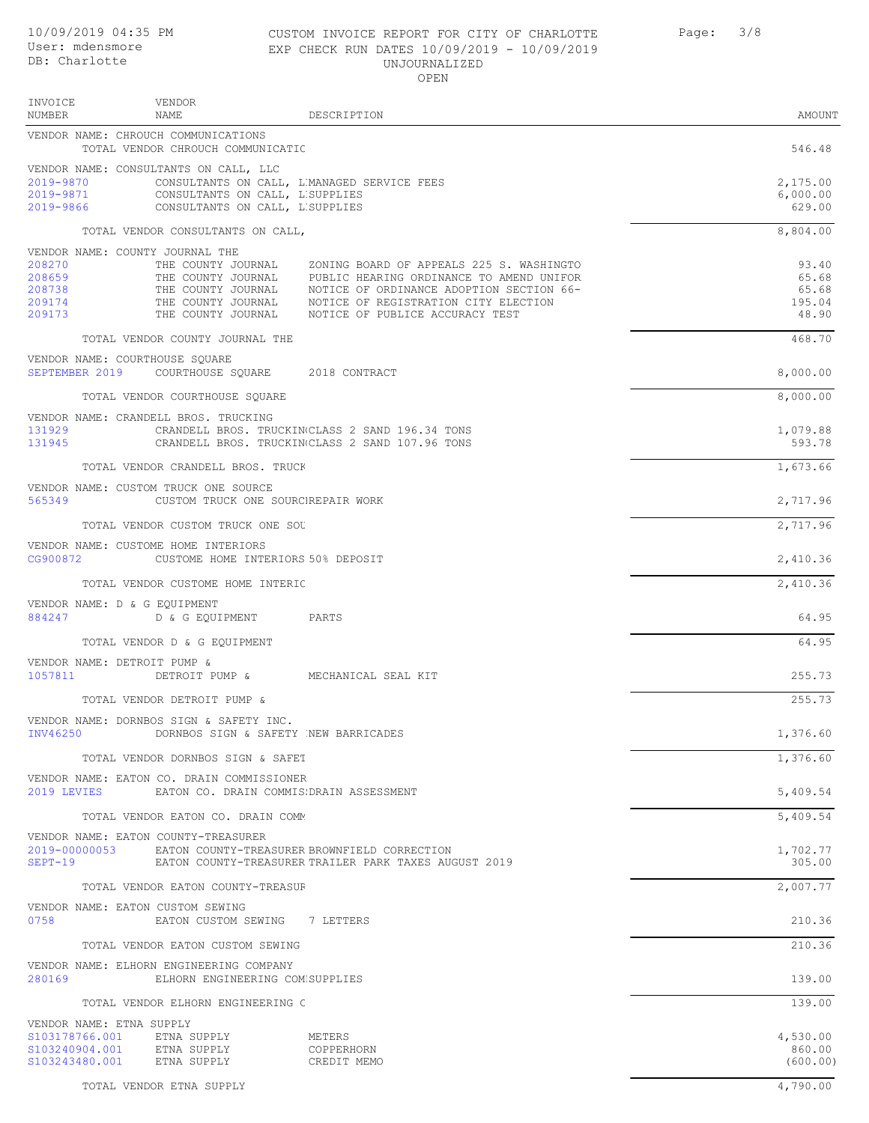# EXP CHECK RUN UNJOURNALIZED

| 10/09/2019 04:35 PM<br>User: mdensmore<br>DB: Charlotte                           |                                                                                                             | CUSTOM INVOICE REPORT FOR CITY OF CHARLOTTE<br>EXP CHECK RUN DATES 10/09/2019 - 10/09/2019<br>UNJOURNALIZED<br>OPEN                                                                                                                                                  | 3/8<br>Page: |                                            |
|-----------------------------------------------------------------------------------|-------------------------------------------------------------------------------------------------------------|----------------------------------------------------------------------------------------------------------------------------------------------------------------------------------------------------------------------------------------------------------------------|--------------|--------------------------------------------|
| INVOICE<br>NUMBER                                                                 | VENDOR<br><b>NAME</b>                                                                                       | DESCRIPTION                                                                                                                                                                                                                                                          |              | AMOUNT                                     |
|                                                                                   | VENDOR NAME: CHROUCH COMMUNICATIONS<br>TOTAL VENDOR CHROUCH COMMUNICATIC                                    |                                                                                                                                                                                                                                                                      |              | 546.48                                     |
| 2019-9870<br>2019-9871<br>2019-9866                                               | VENDOR NAME: CONSULTANTS ON CALL, LLC<br>CONSULTANTS ON CALL, L'SUPPLIES<br>CONSULTANTS ON CALL, LISUPPLIES | CONSULTANTS ON CALL, L'MANAGED SERVICE FEES                                                                                                                                                                                                                          |              | 2,175.00<br>6,000.00<br>629.00             |
|                                                                                   | TOTAL VENDOR CONSULTANTS ON CALL,                                                                           |                                                                                                                                                                                                                                                                      |              | 8,804.00                                   |
| VENDOR NAME: COUNTY JOURNAL THE<br>208270<br>208659<br>208738<br>209174<br>209173 | THE COUNTY JOURNAL<br>THE COUNTY JOURNAL                                                                    | ZONING BOARD OF APPEALS 225 S. WASHINGTO<br>THE COUNTY JOURNAL PUBLIC HEARING ORDINANCE TO AMEND UNIFOR<br>THE COUNTY JOURNAL MOTICE OF ORDINANCE ADOPTION SECTION 66-<br>THE COUNTY JOURNAL MOTICE OF REGISTRATION CITY ELECTION<br>NOTICE OF PUBLICE ACCURACY TEST |              | 93.40<br>65.68<br>65.68<br>195.04<br>48.90 |
|                                                                                   | TOTAL VENDOR COUNTY JOURNAL THE                                                                             |                                                                                                                                                                                                                                                                      |              | 468.70                                     |
| VENDOR NAME: COURTHOUSE SOUARE<br>SEPTEMBER 2019                                  | COURTHOUSE SOUARE 2018 CONTRACT                                                                             |                                                                                                                                                                                                                                                                      |              | 8,000.00                                   |
|                                                                                   | TOTAL VENDOR COURTHOUSE SQUARE                                                                              |                                                                                                                                                                                                                                                                      |              | 8,000.00                                   |
| 131929<br>131945                                                                  | VENDOR NAME: CRANDELL BROS. TRUCKING                                                                        | CRANDELL BROS. TRUCKINGCLASS 2 SAND 196.34 TONS<br>CRANDELL BROS. TRUCKINGLASS 2 SAND 107.96 TONS                                                                                                                                                                    |              | 1,079.88<br>593.78                         |
|                                                                                   | TOTAL VENDOR CRANDELL BROS. TRUCK                                                                           |                                                                                                                                                                                                                                                                      |              | 1,673.66                                   |
| 565349                                                                            | VENDOR NAME: CUSTOM TRUCK ONE SOURCE<br>CUSTOM TRUCK ONE SOURCIREPAIR WORK                                  |                                                                                                                                                                                                                                                                      |              | 2,717.96                                   |
|                                                                                   | TOTAL VENDOR CUSTOM TRUCK ONE SOU                                                                           |                                                                                                                                                                                                                                                                      |              | 2,717.96                                   |
| CG900872                                                                          | VENDOR NAME: CUSTOME HOME INTERIORS<br>CUSTOME HOME INTERIORS 50% DEPOSIT                                   |                                                                                                                                                                                                                                                                      |              | 2,410.36                                   |

TOTAL VENDOR CUSTOME HOME INTERIC 2, 2002 SERVICE 2, 2003

VENDOR NAME: D & G EQUIPMENT

884247 D & G EQUIPMENT PARTS 64.95 TOTAL VENDOR D & G EQUIPMENT 64.95 VENDOR NAME: DETROIT PUMP &

1057811 DETROIT PUMP & MECHANICAL SEAL KIT 255.73 TOTAL VENDOR DETROIT PUMP & 255.73

VENDOR NAME: DORNBOS SIGN & SAFETY INC. DORNBOS SIGN & SAFETY NEW BARRICADES 1,376.60

TOTAL VENDOR DORNBOS SIGN & SAFET THE SERVICE OF THE SERVICE OF THE SERVICE OF THE SERVICE OF THE SERVICE OF THE SERVICE OF THE SERVICE OF THE SERVICE OF THE SERVICE OF THE SERVICE OF THE SERVICE OF THE SERVICE OF THE SERV

VENDOR NAME: EATON CO. DRAIN COMMISSIONER 2019 LEVIES EATON CO. DRAIN COMMISSIDRAIN ASSESSMENT STATES AND RESOLUTION OF STATES AND STATES AND STATES AND

TOTAL VENDOR EATON CO. DRAIN COMMUNISTIC SERVICE SUPERINTING SUPERINT COMMUNISTIC SUPERINT STRAIN STRAIN STRAIN VENDOR NAME: EATON COUNTY-TREASURER

2019-00000053 EATON COUNTY-TREASURER BROWNFIELD CORRECTION<br>2019-00000053 EATON COUNTY-TREASURER TRAILER PARK TAXES AUGUST 2019 EATON COUNTY-TREASURER TRAILER PARK TAXES AUGUST 2019 TOTAL VENDOR EATON COUNTY-TREASUR

VENDOR NAME: EATON CUSTOM SEWING<br>0758 EATON CUSTOM S EATON CUSTOM SEWING 7 LETTERS 200.36

TOTAL VENDOR EATON CUSTOM SEWING 210.36

280169 ELHORN ENGINEERING COMPANY SUPPLIES 139.00

TOTAL VENDOR ELHORN ENGINEERING C<br>
139.00

VENDOR NAME: ELHORN ENGINEERING COMPANY

| VENDOR NAME: ETNA SUPPLY |             |             |          |
|--------------------------|-------------|-------------|----------|
| S103178766.001           | ETNA SUPPLY | METERS      | 4,530.00 |
| S103240904.001           | ETNA SUPPLY | COPPERHORN  | 860.00   |
| \$103243480.001          | ETNA SUPPLY | CREDIT MEMO | (600.00) |

TOTAL VENDOR ETNA SUPPLY  $4,790.00$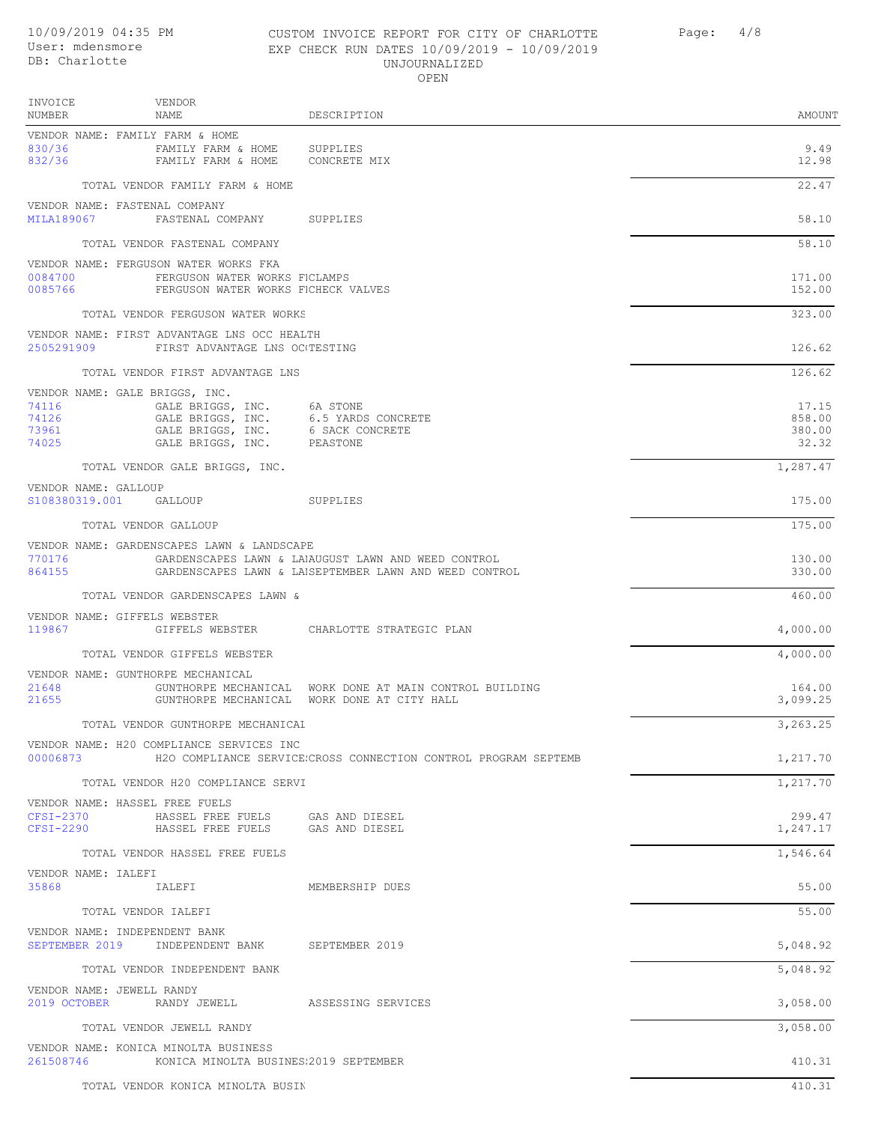#### 10/09/2019 04:35 PM CUSTOM INVOICE REPORT FOR CITY OF CHARLOTTE Page: 4/8 User: mdensmore EXP CHECK RUN DATES 10/09/2019 - 10/09/2019 UNJOURNALIZED OPEN

| INVOICE<br>NUMBER                | VENDOR<br>NAME                                                                                                                              | DESCRIPTION                                                                                                   | AMOUNT                             |
|----------------------------------|---------------------------------------------------------------------------------------------------------------------------------------------|---------------------------------------------------------------------------------------------------------------|------------------------------------|
| 830/36<br>832/36                 | VENDOR NAME: FAMILY FARM & HOME<br>FAMILY FARM & HOME<br>FAMILY FARM & HOME                                                                 | SUPPLIES<br>CONCRETE MIX                                                                                      | 9.49<br>12.98                      |
|                                  | TOTAL VENDOR FAMILY FARM & HOME                                                                                                             |                                                                                                               | 22.47                              |
| MILA189067                       | VENDOR NAME: FASTENAL COMPANY<br>FASTENAL COMPANY SUPPLIES                                                                                  |                                                                                                               | 58.10                              |
|                                  | TOTAL VENDOR FASTENAL COMPANY                                                                                                               |                                                                                                               | 58.10                              |
| 0084700<br>0085766               | VENDOR NAME: FERGUSON WATER WORKS FKA<br>FERGUSON WATER WORKS FICLAMPS<br>FERGUSON WATER WORKS FICHECK VALVES                               |                                                                                                               | 171.00<br>152.00                   |
|                                  | TOTAL VENDOR FERGUSON WATER WORKS                                                                                                           |                                                                                                               | 323.00                             |
|                                  | VENDOR NAME: FIRST ADVANTAGE LNS OCC HEALTH<br>2505291909 FIRST ADVANTAGE LNS OCTESTING                                                     |                                                                                                               | 126.62                             |
|                                  | TOTAL VENDOR FIRST ADVANTAGE LNS                                                                                                            |                                                                                                               | 126.62                             |
| 74116<br>74126<br>73961<br>74025 | VENDOR NAME: GALE BRIGGS, INC.<br>GALE BRIGGS, INC. 6A STONE<br>GALE BRIGGS, INC.<br>GALE BRIGGS, INC. 6 SACK CONCRETE<br>GALE BRIGGS, INC. | 6.5 YARDS CONCRETE<br>PEASTONE                                                                                | 17.15<br>858.00<br>380.00<br>32.32 |
|                                  | TOTAL VENDOR GALE BRIGGS, INC.                                                                                                              |                                                                                                               | 1,287.47                           |
| VENDOR NAME: GALLOUP             | S108380319.001 GALLOUP                                                                                                                      | <b>SUPPLIES</b>                                                                                               | 175.00                             |
|                                  | TOTAL VENDOR GALLOUP                                                                                                                        |                                                                                                               | 175.00                             |
| 770176<br>864155                 | VENDOR NAME: GARDENSCAPES LAWN & LANDSCAPE                                                                                                  | GARDENSCAPES LAWN & LAIAUGUST LAWN AND WEED CONTROL<br>GARDENSCAPES LAWN & LAISEPTEMBER LAWN AND WEED CONTROL | 130.00<br>330.00                   |
|                                  | TOTAL VENDOR GARDENSCAPES LAWN &                                                                                                            |                                                                                                               | 460.00                             |
| 119867                           | VENDOR NAME: GIFFELS WEBSTER                                                                                                                | GIFFELS WEBSTER CHARLOTTE STRATEGIC PLAN                                                                      | 4,000.00                           |
|                                  | TOTAL VENDOR GIFFELS WEBSTER                                                                                                                |                                                                                                               | 4,000.00                           |
| 21648<br>21655                   | VENDOR NAME: GUNTHORPE MECHANICAL                                                                                                           | GUNTHORPE MECHANICAL WORK DONE AT MAIN CONTROL BUILDING<br>GUNTHORPE MECHANICAL WORK DONE AT CITY HALL        | 164.00<br>3,099.25                 |
|                                  | TOTAL VENDOR GUNTHORPE MECHANICAL                                                                                                           |                                                                                                               | 3,263.25                           |
| 00006873                         | VENDOR NAME: H20 COMPLIANCE SERVICES INC                                                                                                    | H2O COMPLIANCE SERVICE;CROSS CONNECTION CONTROL PROGRAM SEPTEMB                                               | 1,217.70                           |
|                                  | TOTAL VENDOR H20 COMPLIANCE SERVI                                                                                                           |                                                                                                               | 1,217.70                           |
| CFSI-2370                        | VENDOR NAME: HASSEL FREE FUELS<br>HASSEL FREE FUELS GAS AND DIESEL                                                                          |                                                                                                               | 299.47                             |
|                                  | CFSI-2290 HASSEL FREE FUELS GAS AND DIESEL                                                                                                  |                                                                                                               | 1,247.17                           |
| VENDOR NAME: IALEFI              | TOTAL VENDOR HASSEL FREE FUELS                                                                                                              |                                                                                                               | 1,546.64                           |
| 35868                            | IALEFI                                                                                                                                      | MEMBERSHIP DUES                                                                                               | 55.00                              |
|                                  | TOTAL VENDOR IALEFI                                                                                                                         |                                                                                                               | 55.00                              |
|                                  | VENDOR NAME: INDEPENDENT BANK<br>SEPTEMBER 2019 INDEPENDENT BANK SEPTEMBER 2019                                                             |                                                                                                               | 5,048.92                           |
|                                  | TOTAL VENDOR INDEPENDENT BANK                                                                                                               |                                                                                                               | 5,048.92                           |
| VENDOR NAME: JEWELL RANDY        | 2019 OCTOBER RANDY JEWELL ASSESSING SERVICES                                                                                                |                                                                                                               | 3,058.00                           |
|                                  | TOTAL VENDOR JEWELL RANDY                                                                                                                   |                                                                                                               | 3,058.00                           |
| 261508746                        | VENDOR NAME: KONICA MINOLTA BUSINESS<br>KONICA MINOLTA BUSINES:2019 SEPTEMBER                                                               |                                                                                                               | 410.31                             |
|                                  | TOTAL VENDOR KONICA MINOLTA BUSIN                                                                                                           |                                                                                                               | 410.31                             |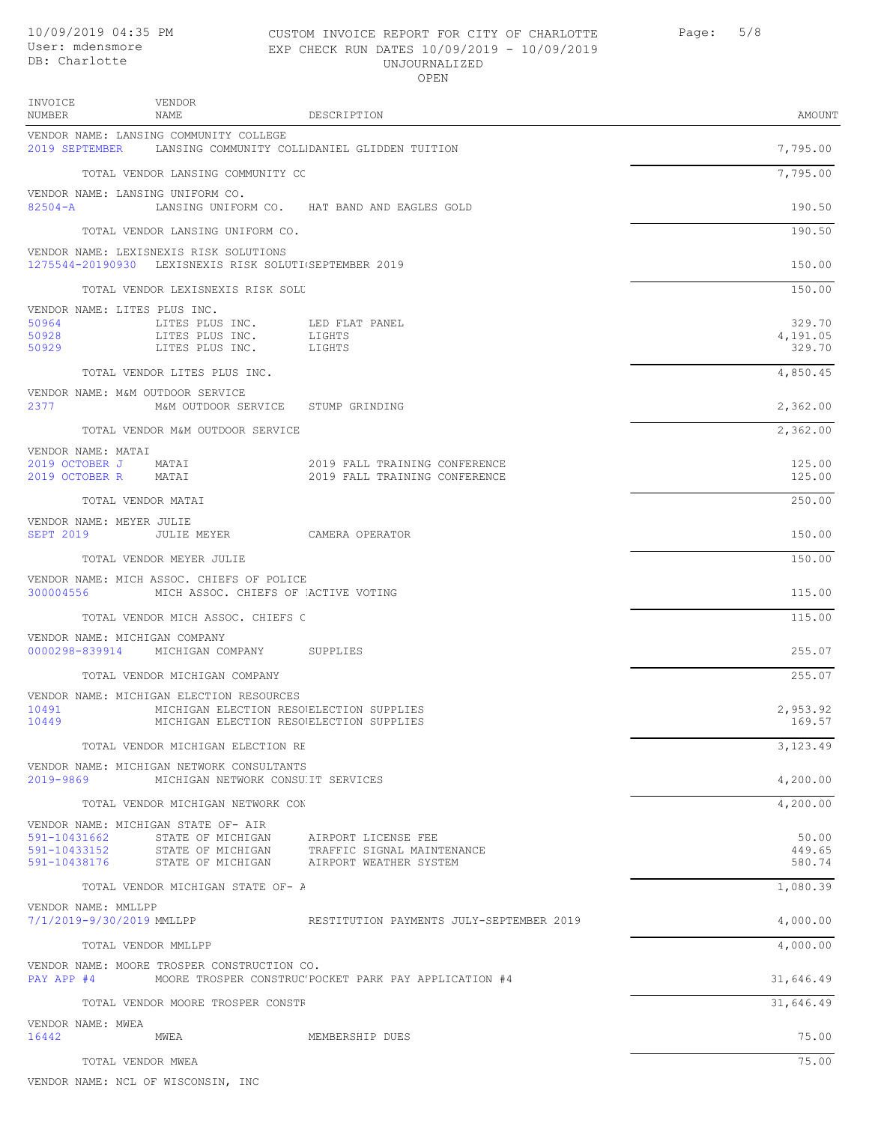**INVOICE** NUMBER

#### 10/09/2019 04:35 PM CUSTOM INVOICE REPORT FOR CITY OF CHARLOTTE Page: 5/8 EXP CHECK RUN DATES 10/09/2019 - 10/09/2019 UNJOURNALIZED OPEN

2019 FALL TRAINING CONFERENCE

| INVOICE<br>NUMBER | VENDOR<br>NAME                                          | DESCRIPTION                                   | AMOUNT   |
|-------------------|---------------------------------------------------------|-----------------------------------------------|----------|
| 2019 SEPTEMBER    | VENDOR NAME: LANSING COMMUNITY COLLEGE                  | LANSING COMMUNITY COLLIDANIEL GLIDDEN TUITION | 7,795.00 |
|                   | TOTAL VENDOR LANSING COMMUNITY CC                       |                                               | 7,795.00 |
| $82504 - A$       | VENDOR NAME: LANSING UNIFORM CO.<br>LANSING UNIFORM CO. | HAT BAND AND EAGLES GOLD                      | 190.50   |

2019 FALL TRAINING CONFERENCE 125.00<br>2019 FALL TRAINING CONFERENCE 125.00

TOTAL VENDOR LANSING UNIFORM CO. 190.50 VENDOR NAME: LEXISNEXIS RISK SOLUTIONS

VENDOR NAME

1275544-20190930 LEXISNEXIS RISK SOLUTIONS SEPTEMBER 2019 150.00

TOTAL VENDOR LEXISNEXIS RISK SOLUTIONS 150.00

|       | VENDOR NAME: LITES PLUS INC. |                |          |
|-------|------------------------------|----------------|----------|
| 50964 | LITES PLUS INC.              | LED FLAT PANEL | 329.70   |
| 50928 | LITES PLUS INC.              | LIGHTS         | 4,191.05 |
| 50929 | LITES PLUS INC.              | LIGHTS         | 329.70   |

TOTAL VENDOR LITES PLUS INC.  $4,850.45$ 

|      | VENDOR NAME: M&M OUTDOOR SERVICE |                |          |
|------|----------------------------------|----------------|----------|
| 2377 | M&M OUTDOOR SERVICE              | STUMP GRINDING | 2,362.00 |

TOTAL VENDOR M&M OUTDOOR SERVICE 2,362.00

VENDOR NAME: MATAI<br>2019 OCTOBER J MATAI<br>2019 OCTOBER R MATAI

TOTAL VENDOR MATAI 250.00

VENDOR NAME: MEYER JULIE SEPT 2019 JULIE MEYER CAMERA OPERATOR 150.00

TOTAL VENDOR MEYER JULIE 150.00

VENDOR NAME: MICH ASSOC. CHIEFS OF POLICE<br>300004556 MICH ASSOC. CHIEFS OF MICH ASSOC. CHIEFS OF ACTIVE VOTING 115.00

TOTAL VENDOR MICH ASSOC. CHIEFS C<br>
115.00

VENDOR NAME: MICHIGAN COMPANY 0000298-839914 MICHIGAN COMPANY SUPPLIES 255.07

TOTAL VENDOR MICHIGAN COMPANY 255.07

VENDOR NAME: MICHIGAN ELECTION RESOURCES<br>10491 MICHIGAN ELECTION RESO 10491 MICHIGAN ELECTION RESOURCES ELECTION SUPPLIES 2,953.92 MICHIGAN ELECTION RESOUELECTION SUPPLIES TOTAL VENDOR MICHIGAN ELECTION RESOURCES 3, 123.49 VENDOR NAME: MICHIGAN NETWORK CONSULTANTS 2019-9869 MICHIGAN NETWORK CONSULTI SERVICES 4,200.00

TOTAL VENDOR MICHIGAN NETWORK CONSULTANTS 4,200.00

|                           |                                             |                                                       | 11200.000 |
|---------------------------|---------------------------------------------|-------------------------------------------------------|-----------|
|                           | VENDOR NAME: MICHIGAN STATE OF- AIR         |                                                       |           |
| 591-10431662              | STATE OF MICHIGAN                           | AIRPORT LICENSE FEE                                   | 50.00     |
| 591-10433152              | STATE OF MICHIGAN                           | TRAFFIC SIGNAL MAINTENANCE                            | 449.65    |
| 591-10438176              | STATE OF MICHIGAN                           | AIRPORT WEATHER SYSTEM                                | 580.74    |
|                           | TOTAL VENDOR MICHIGAN STATE OF- A           |                                                       | 1,080.39  |
| VENDOR NAME: MMLLPP       |                                             |                                                       |           |
| 7/1/2019-9/30/2019 MMLLPP |                                             | RESTITUTION PAYMENTS JULY-SEPTEMBER 2019              | 4,000.00  |
|                           | TOTAL VENDOR MMLLPP                         |                                                       | 4,000.00  |
|                           | VENDOR NAME: MOORE TROSPER CONSTRUCTION CO. |                                                       |           |
| PAY APP #4                |                                             | MOORE TROSPER CONSTRUC'POCKET PARK PAY APPLICATION #4 | 31,646.49 |
|                           | TOTAL VENDOR MOORE TROSPER CONSTF           |                                                       | 31,646.49 |
| VENDOR NAME: MWEA         |                                             |                                                       |           |
| 16442                     | MWEA                                        | MEMBERSHIP DUES                                       | 75.00     |

TOTAL VENDOR MWEA 75.00

VENDOR NAME: NCL OF WISCONSIN, INC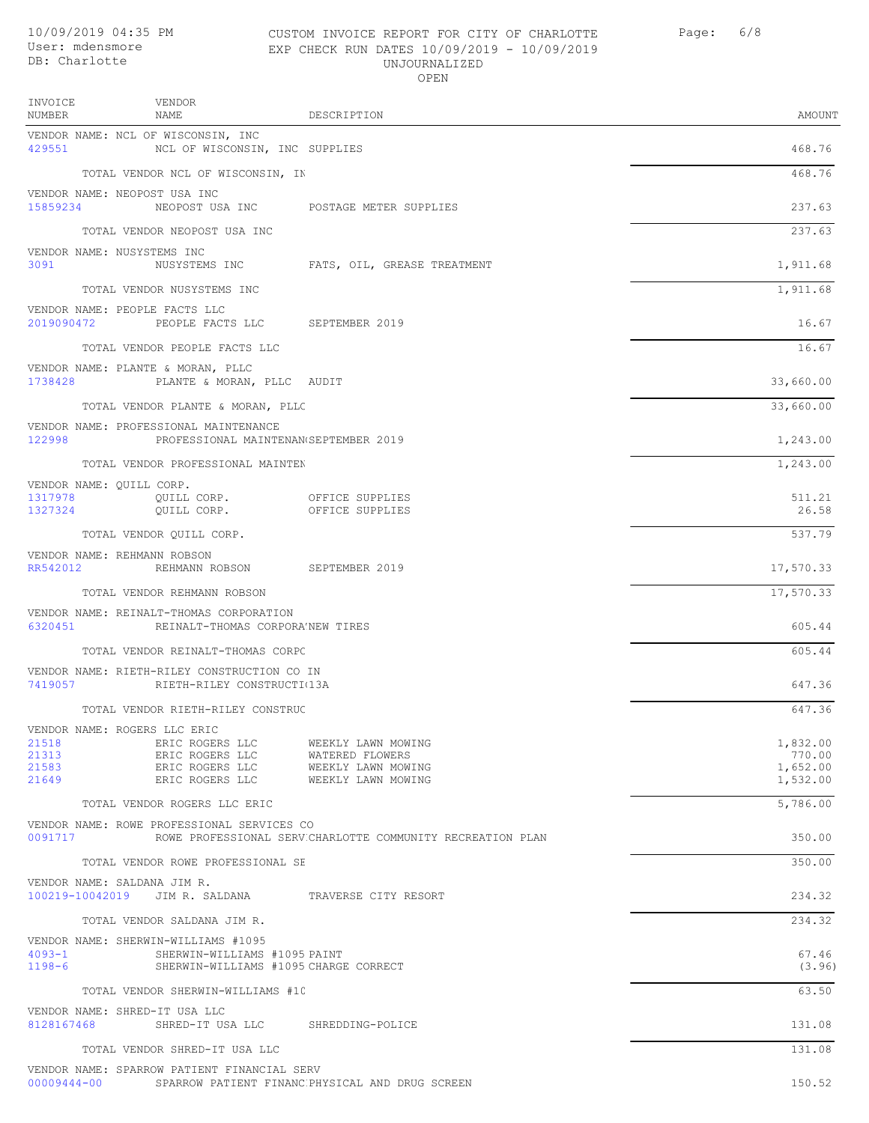## 10/09/2019 04:35 PM CUSTOM INVOICE REPORT FOR CITY OF CHARLOTTE Page: 6/8 EXP CHECK RUN DATES 10/09/2019 - 10/09/2019 UNJOURNALIZED

| OPEN              |                                                                      |                             |           |
|-------------------|----------------------------------------------------------------------|-----------------------------|-----------|
| INVOICE<br>NUMBER | VENDOR<br>NAME                                                       | DESCRIPTION                 | AMOUNT    |
| 429551            | VENDOR NAME: NCL OF WISCONSIN, INC<br>NCL OF WISCONSIN, INC SUPPLIES |                             | 468.76    |
|                   | TOTAL VENDOR NCL OF WISCONSIN, IN                                    |                             | 468.76    |
| 15859234          | VENDOR NAME: NEOPOST USA INC<br>NEOPOST USA INC                      | POSTAGE METER SUPPLIES      | 237.63    |
|                   | TOTAL VENDOR NEOPOST USA INC                                         |                             | 237.63    |
| 3091              | VENDOR NAME: NUSYSTEMS INC<br>NUSYSTEMS INC                          | FATS, OIL, GREASE TREATMENT | 1,911.68  |
|                   | TOTAL VENDOR NUSYSTEMS INC                                           |                             | 1,911.68  |
| 2019090472        | VENDOR NAME: PEOPLE FACTS LLC<br>PEOPLE FACTS LLC                    | SEPTEMBER 2019              | 16.67     |
|                   | TOTAL VENDOR PEOPLE FACTS LLC                                        |                             | 16.67     |
| 1738428           | VENDOR NAME: PLANTE & MORAN, PLLC<br>PLANTE & MORAN, PLLC AUDIT      |                             | 33,660.00 |
|                   | TOTAL VENDOR PLANTE & MORAN, PLLC                                    |                             | 33,660.00 |

VENDOR NAME: PROFESSIONAL MAINTENANCE 122998 PROFESSIONAL MAINTENAN SEPTEMBER 2019 2019 1,243.00

|                          | TOTAL VENDOR PROFESSIONAL MAINTEN |                 | 1,243.00 |
|--------------------------|-----------------------------------|-----------------|----------|
| VENDOR NAME: OUILL CORP. |                                   |                 |          |
| 1317978                  | OUILL CORP.                       | OFFICE SUPPLIES | 511.21   |
| 1327324                  | OUILL CORP.                       | OFFICE SUPPLIES | 26.58    |
|                          |                                   |                 |          |

| TOTAL VENDOR OUILL CORP.    | - - -<br>$ -$ |
|-----------------------------|---------------|
|                             |               |
| VENDOR NAME: REHMANN ROBSON |               |

| RR542012 | ROBSON<br>REHMANN | SEPTEMBER 2019 | 17,570.33 |
|----------|-------------------|----------------|-----------|

TOTAL VENDOR REHMANN ROBSON 17,570.33

VENDOR NAME: REINALT-THOMAS CORPORATION 6320451 REINALT-THOMAS CORPORA'NEW TIRES 605.44 TOTAL VENDOR REINALT-THOMAS CORPC 605.44

|     | VENDOR NAME: RIETH-RILEY CONSTRUCTION CO IN |         |
|-----|---------------------------------------------|---------|
|     | RIETH-RILEY CONSTRUCTI(13A                  | 7419057 |
| 64) | VENDOR RIETH-RILEY CONSTRUC                 | TOTAL.  |

|       | VENDOR NAME: ROGERS LLC ERIC |                    |          |
|-------|------------------------------|--------------------|----------|
| 21518 | ERIC ROGERS LLC              | WEEKLY LAWN MOWING | 1,832.00 |
| 21313 | ERIC ROGERS LLC              | WATERED FLOWERS    | 770.00   |
| 21583 | ERIC ROGERS LLC              | WEEKLY LAWN MOWING | 1,652.00 |
| 21649 | ERIC ROGERS LLC              | WEEKLY LAWN MOWING | 1,532.00 |

TOTAL VENDOR ROGERS LLC ERIC 5, 286.00 VENDOR NAME: ROWE PROFESSIONAL SERVICES CO 0091717 ROWE PROFESSIONAL SERVICHARLOTTE COMMUNITY RECREATION PLAN 350.00 TOTAL VENDOR ROWE PROFESSIONAL SE VENDOR NAME: SALDANA JIM R. 100219-10042019 JIM R. SALDANA TRAVERSE CITY RESORT 234.32

TOTAL VENDOR SALDANA JIM R. 234.32

|            | VENDOR NAME: SHERWIN-WILLIAMS #1095 |                                       |        |
|------------|-------------------------------------|---------------------------------------|--------|
| $4093 - 1$ | SHERWIN-WILLIAMS #1095 PAINT        |                                       | 67.46  |
| $1198 - 6$ |                                     | SHERWIN-WILLIAMS #1095 CHARGE CORRECT | (3.96) |

TOTAL VENDOR SHERWIN-WILLIAMS #10

VENDOR NAME: SHRED-IT USA LLC 8128167468 SHRED-IT USA LLC SHREDDING-POLICE 131.08

TOTAL VENDOR SHRED-IT USA LLC 131.08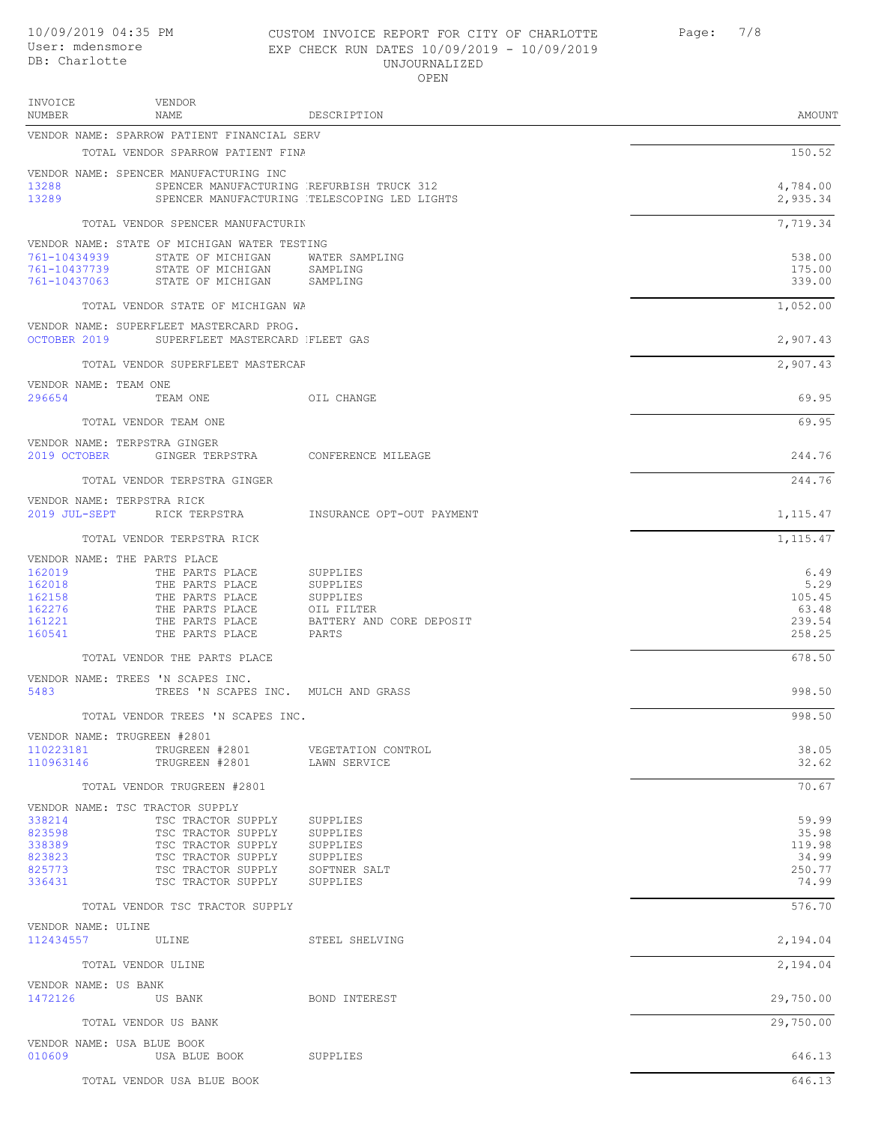VENDOR INVOICE

#### 10/09/2019 04:35 PM CUSTOM INVOICE REPORT FOR CITY OF CHARLOTTE Page: 7/8 EXP CHECK RUN DATES 10/09/2019 - 10/09/2019 UNJOURNALIZED OPEN

| ᆂᅜᄿᇦᆂᇦ<br><b>NUMBER</b>                | A TANDOTA<br>NAME                              | DESCRIPTION                                           | AMOUNT           |
|----------------------------------------|------------------------------------------------|-------------------------------------------------------|------------------|
|                                        | VENDOR NAME: SPARROW PATIENT FINANCIAL SERV    |                                                       |                  |
|                                        | TOTAL VENDOR SPARROW PATIENT FINA              |                                                       | 150.52           |
|                                        | VENDOR NAME: SPENCER MANUFACTURING INC         |                                                       |                  |
| 13288                                  |                                                | SPENCER MANUFACTURING REFURBISH TRUCK 312             | 4,784.00         |
| 13289                                  |                                                | SPENCER MANUFACTURING TELESCOPING LED LIGHTS          | 2,935.34         |
|                                        | TOTAL VENDOR SPENCER MANUFACTURIN              |                                                       | 7,719.34         |
|                                        | VENDOR NAME: STATE OF MICHIGAN WATER TESTING   |                                                       |                  |
| 761-10434939<br>761-10437739           | STATE OF MICHIGAN<br>STATE OF MICHIGAN         | WATER SAMPLING<br>SAMPLING                            | 538.00<br>175.00 |
| 761-10437063                           | STATE OF MICHIGAN                              | SAMPLING                                              | 339.00           |
|                                        | TOTAL VENDOR STATE OF MICHIGAN WA              |                                                       | 1,052.00         |
|                                        | VENDOR NAME: SUPERFLEET MASTERCARD PROG.       |                                                       |                  |
|                                        | OCTOBER 2019 SUPERFLEET MASTERCARD FLEET GAS   |                                                       | 2,907.43         |
|                                        | TOTAL VENDOR SUPERFLEET MASTERCAF              |                                                       | 2,907.43         |
| VENDOR NAME: TEAM ONE                  |                                                |                                                       |                  |
| 296654                                 | TEAM ONE                                       | OIL CHANGE                                            | 69.95            |
|                                        | TOTAL VENDOR TEAM ONE                          |                                                       | 69.95            |
| VENDOR NAME: TERPSTRA GINGER           |                                                |                                                       |                  |
| 2019 OCTOBER                           | GINGER TERPSTRA             CONFERENCE MILEAGE |                                                       | 244.76           |
|                                        | TOTAL VENDOR TERPSTRA GINGER                   |                                                       | 244.76           |
| VENDOR NAME: TERPSTRA RICK             |                                                | 2019 JUL-SEPT RICK TERPSTRA INSURANCE OPT-OUT PAYMENT | 1, 115.47        |
|                                        |                                                |                                                       |                  |
|                                        | TOTAL VENDOR TERPSTRA RICK                     |                                                       | 1, 115.47        |
| VENDOR NAME: THE PARTS PLACE<br>162019 | THE PARTS PLACE                                | SUPPLIES                                              | 6.49             |
| 162018                                 | THE PARTS PLACE                                | SUPPLIES                                              | 5.29             |
| 162158                                 | THE PARTS PLACE                                | SUPPLIES                                              | 105.45           |
| 162276                                 | THE PARTS PLACE                                | OIL FILTER                                            | 63.48            |
| 161221<br>160541                       | THE PARTS PLACE<br>THE PARTS PLACE             | BATTERY AND CORE DEPOSIT<br>PARTS                     | 239.54<br>258.25 |
|                                        | TOTAL VENDOR THE PARTS PLACE                   |                                                       | 678.50           |
|                                        | VENDOR NAME: TREES 'N SCAPES INC.              |                                                       |                  |
| 5483                                   | TREES 'N SCAPES INC. MULCH AND GRASS           |                                                       | 998.50           |
|                                        | TOTAL VENDOR TREES 'N SCAPES INC.              |                                                       | 998.50           |
| VENDOR NAME: TRUGREEN #2801            |                                                |                                                       |                  |
| 110223181                              | TRUGREEN #2801                                 | VEGETATION CONTROL                                    | 38.05            |
| 110963146                              | TRUGREEN #2801                                 | LAWN SERVICE                                          | 32.62            |
|                                        | TOTAL VENDOR TRUGREEN #2801                    |                                                       | 70.67            |
|                                        | VENDOR NAME: TSC TRACTOR SUPPLY                |                                                       |                  |
| 338214<br>823598                       | TSC TRACTOR SUPPLY<br>TSC TRACTOR SUPPLY       | SUPPLIES<br>SUPPLIES                                  | 59.99<br>35.98   |
| 338389                                 | TSC TRACTOR SUPPLY                             | SUPPLIES                                              | 119.98           |
| 823823                                 | TSC TRACTOR SUPPLY                             | SUPPLIES                                              | 34.99            |
| 825773<br>336431                       | TSC TRACTOR SUPPLY<br>TSC TRACTOR SUPPLY       | SOFTNER SALT<br>SUPPLIES                              | 250.77<br>74.99  |
|                                        |                                                |                                                       |                  |
|                                        | TOTAL VENDOR TSC TRACTOR SUPPLY                |                                                       | 576.70           |
| VENDOR NAME: ULINE<br>112434557        | ULINE                                          | STEEL SHELVING                                        | 2,194.04         |
|                                        | TOTAL VENDOR ULINE                             |                                                       | 2,194.04         |
| VENDOR NAME: US BANK                   |                                                |                                                       |                  |
| 1472126                                | US BANK                                        | BOND INTEREST                                         | 29,750.00        |
|                                        | TOTAL VENDOR US BANK                           |                                                       | 29,750.00        |
| VENDOR NAME: USA BLUE BOOK             |                                                |                                                       |                  |
| 010609                                 | USA BLUE BOOK                                  | SUPPLIES                                              | 646.13           |
|                                        | TOTAL VENDOR USA BLUE BOOK                     |                                                       | 646.13           |